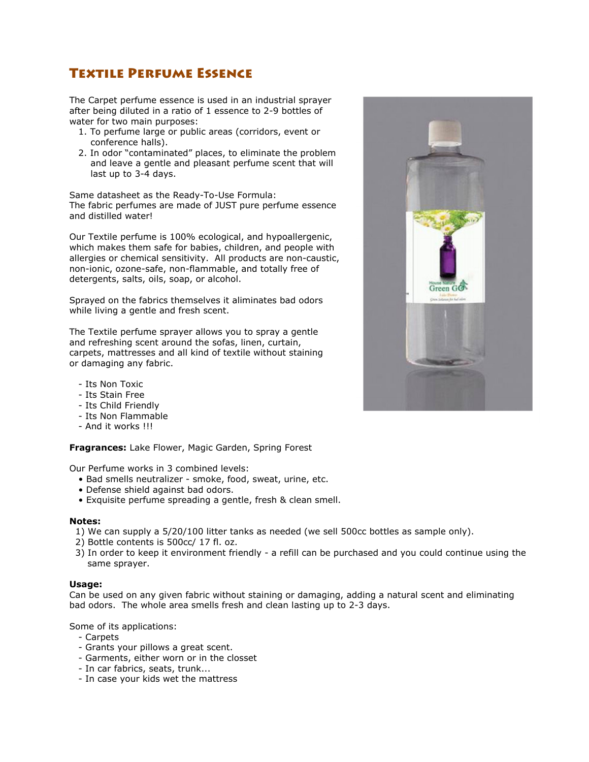## Textile Perfume Essence

The Carpet perfume essence is used in an industrial sprayer after being diluted in a ratio of 1 essence to 2-9 bottles of water for two main purposes:

- 1. To perfume large or public areas (corridors, event or conference halls).
- 2. In odor "contaminated" places, to eliminate the problem and leave a gentle and pleasant perfume scent that will last up to 3-4 days.

Same datasheet as the Ready-To-Use Formula: The fabric perfumes are made of JUST pure perfume essence and distilled water!

Our Textile perfume is 100% ecological, and hypoallergenic, which makes them safe for babies, children, and people with allergies or chemical sensitivity. All products are non-caustic, non-ionic, ozone-safe, non-flammable, and totally free of detergents, salts, oils, soap, or alcohol.

Sprayed on the fabrics themselves it aliminates bad odors while living a gentle and fresh scent.

The Textile perfume sprayer allows you to spray a gentle and refreshing scent around the sofas, linen, curtain, carpets, mattresses and all kind of textile without staining or damaging any fabric.

- Its Non Toxic
- Its Stain Free
- Its Child Friendly
- Its Non Flammable
- And it works !!!

**Fragrances:** Lake Flower, Magic Garden, Spring Forest

Our Perfume works in 3 combined levels:

- Bad smells neutralizer smoke, food, sweat, urine, etc.
- Defense shield against bad odors.
- Exquisite perfume spreading a gentle, fresh & clean smell.

## **Notes:**

- 1) We can supply a 5/20/100 litter tanks as needed (we sell 500cc bottles as sample only).
- 2) Bottle contents is 500cc/ 17 fl. oz.
- 3) In order to keep it environment friendly a refill can be purchased and you could continue using the same sprayer.

## **Usage:**

Can be used on any given fabric without staining or damaging, adding a natural scent and eliminating bad odors. The whole area smells fresh and clean lasting up to 2-3 days.

Some of its applications:

- Carpets
- Grants your pillows a great scent.
- Garments, either worn or in the closset
- In car fabrics, seats, trunk...
- In case your kids wet the mattress